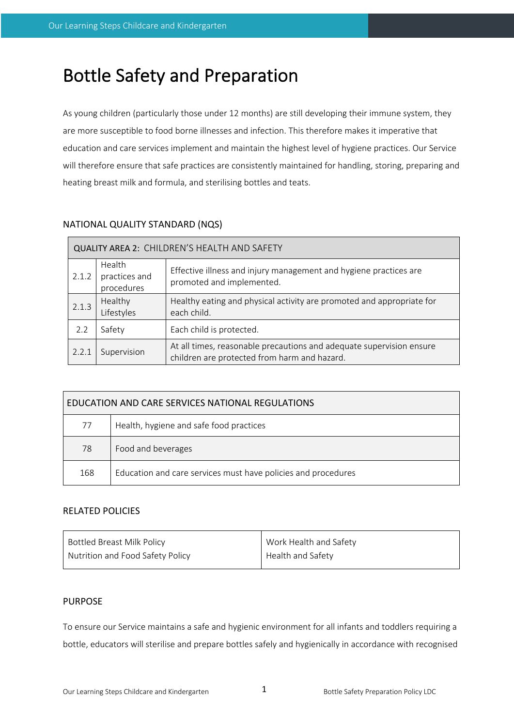# Bottle Safety and Preparation

As young children (particularly those under 12 months) are still developing their immune system, they are more susceptible to food borne illnesses and infection. This therefore makes it imperative that education and care services implement and maintain the highest level of hygiene practices. Our Service will therefore ensure that safe practices are consistently maintained for handling, storing, preparing and heating breast milk and formula, and sterilising bottles and teats.

# NATIONAL QUALITY STANDARD (NQS)

| <b>QUALITY AREA 2: CHILDREN'S HEALTH AND SAFETY</b> |                                       |                                                                                                                      |  |  |  |
|-----------------------------------------------------|---------------------------------------|----------------------------------------------------------------------------------------------------------------------|--|--|--|
| 2.1.2                                               | Health<br>practices and<br>procedures | Effective illness and injury management and hygiene practices are<br>promoted and implemented.                       |  |  |  |
| 2.1.3                                               | Healthy<br>Lifestyles                 | Healthy eating and physical activity are promoted and appropriate for<br>each child.                                 |  |  |  |
| 2.2                                                 | Safety                                | Each child is protected.                                                                                             |  |  |  |
| 2.2.1                                               | Supervision                           | At all times, reasonable precautions and adequate supervision ensure<br>children are protected from harm and hazard. |  |  |  |

| EDUCATION AND CARE SERVICES NATIONAL REGULATIONS |                                                               |  |  |  |
|--------------------------------------------------|---------------------------------------------------------------|--|--|--|
| 77                                               | Health, hygiene and safe food practices                       |  |  |  |
| 78                                               | Food and beverages                                            |  |  |  |
| 168                                              | Education and care services must have policies and procedures |  |  |  |

# RELATED POLICIES

| <b>Bottled Breast Milk Policy</b> | Work Health and Safety |
|-----------------------------------|------------------------|
| Nutrition and Food Safety Policy  | Health and Safety      |

# PURPOSE

To ensure our Service maintains a safe and hygienic environment for all infants and toddlers requiring a bottle, educators will sterilise and prepare bottles safely and hygienically in accordance with recognised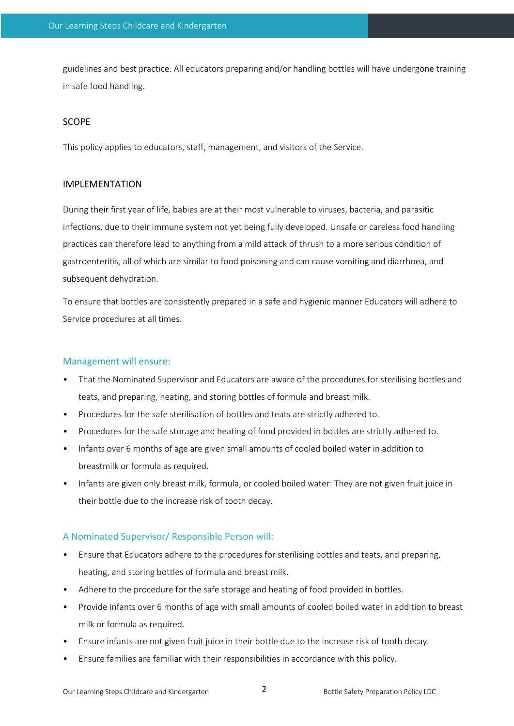guidelines and best practice. All educators preparing and/or handling bottles will have undergone training in safe food handling.

#### SCOPE

This policy applies to educators, staff, management, and visitors of the Service.

## IMPLEMENTATION

During their first year of life, babies are at their most vulnerable to viruses, bacteria, and parasitic infections, due to their immune system not yet being fully developed. Unsafe or careless food handling practices can therefore lead to anything from a mild attack of thrush to a more serious condition of gastroenteritis, all of which are similar to food poisoning and can cause vomiting and diarrhoea, and subsequent dehydration.

To ensure that bottles are consistently prepared in a safe and hygienic manner Educators will adhere to Service procedures at all times.

#### Management will ensure:

- That the Nominated Supervisor and Educators are aware of the procedures for sterilising bottles and teats, and preparing, heating, and storing bottles of formula and breast milk.
- Procedures for the safe sterilisation of bottles and teats are strictly adhered to.
- Procedures for the safe storage and heating of food provided in bottles are strictly adhered to.
- Infants over 6 months of age are given small amounts of cooled boiled water in addition to breastmilk or formula as required.
- Infants are given only breast milk, formula, or cooled boiled water: They are not given fruit juice in their bottle due to the increase risk of tooth decay.

## A Nominated Supervisor/ Responsible Person will:

- Ensure that Educators adhere to the procedures for sterilising bottles and teats, and preparing, heating, and storing bottles of formula and breast milk.
- Adhere to the procedure for the safe storage and heating of food provided in bottles.
- Provide infants over 6 months of age with small amounts of cooled boiled water in addition to breast milk or formula as required.
- Ensure infants are not given fruit juice in their bottle due to the increase risk of tooth decay.
- Ensure families are familiar with their responsibilities in accordance with this policy.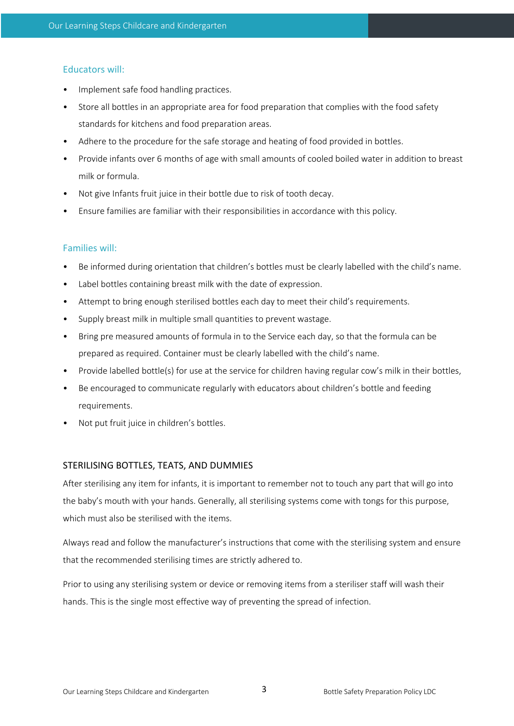# Educators will:

- Implement safe food handling practices.
- Store all bottles in an appropriate area for food preparation that complies with the food safety standards for kitchens and food preparation areas.
- Adhere to the procedure for the safe storage and heating of food provided in bottles.
- Provide infants over 6 months of age with small amounts of cooled boiled water in addition to breast milk or formula.
- Not give Infants fruit juice in their bottle due to risk of tooth decay.
- Ensure families are familiar with their responsibilities in accordance with this policy.

# Families will:

- Be informed during orientation that children's bottles must be clearly labelled with the child's name.
- Label bottles containing breast milk with the date of expression.
- Attempt to bring enough sterilised bottles each day to meet their child's requirements.
- Supply breast milk in multiple small quantities to prevent wastage.
- Bring pre measured amounts of formula in to the Service each day, so that the formula can be prepared as required. Container must be clearly labelled with the child's name.
- Provide labelled bottle(s) for use at the service for children having regular cow's milk in their bottles,
- Be encouraged to communicate regularly with educators about children's bottle and feeding requirements.
- Not put fruit juice in children's bottles.

# STERILISING BOTTLES, TEATS, AND DUMMIES

After sterilising any item for infants, it is important to remember not to touch any part that will go into the baby's mouth with your hands. Generally, all sterilising systems come with tongs for this purpose, which must also be sterilised with the items.

Always read and follow the manufacturer's instructions that come with the sterilising system and ensure that the recommended sterilising times are strictly adhered to.

Prior to using any sterilising system or device or removing items from a steriliser staff will wash their hands. This is the single most effective way of preventing the spread of infection.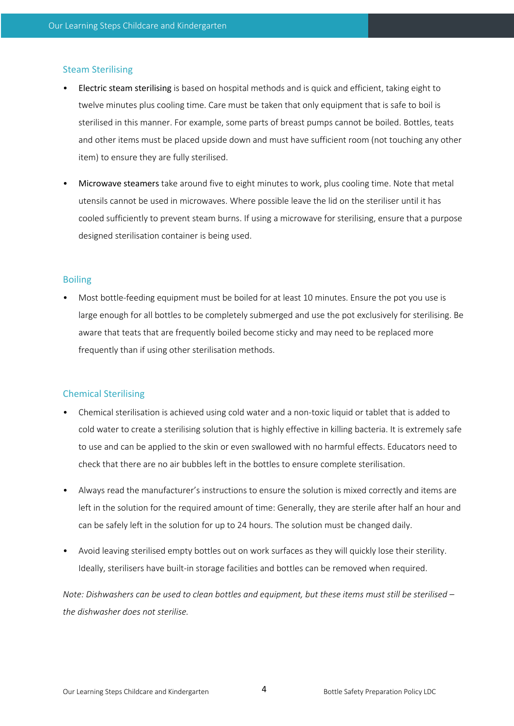## Steam Sterilising

- Electric steam sterilising is based on hospital methods and is quick and efficient, taking eight to twelve minutes plus cooling time. Care must be taken that only equipment that is safe to boil is sterilised in this manner. For example, some parts of breast pumps cannot be boiled. Bottles, teats and other items must be placed upside down and must have sufficient room (not touching any other item) to ensure they are fully sterilised.
- Microwave steamers take around five to eight minutes to work, plus cooling time. Note that metal utensils cannot be used in microwaves. Where possible leave the lid on the steriliser until it has cooled sufficiently to prevent steam burns. If using a microwave for sterilising, ensure that a purpose designed sterilisation container is being used.

## Boiling

• Most bottle-feeding equipment must be boiled for at least 10 minutes. Ensure the pot you use is large enough for all bottles to be completely submerged and use the pot exclusively for sterilising. Be aware that teats that are frequently boiled become sticky and may need to be replaced more frequently than if using other sterilisation methods.

## Chemical Sterilising

- Chemical sterilisation is achieved using cold water and a non-toxic liquid or tablet that is added to cold water to create a sterilising solution that is highly effective in killing bacteria. It is extremely safe to use and can be applied to the skin or even swallowed with no harmful effects. Educators need to check that there are no air bubbles left in the bottles to ensure complete sterilisation.
- Always read the manufacturer's instructions to ensure the solution is mixed correctly and items are left in the solution for the required amount of time: Generally, they are sterile after half an hour and can be safely left in the solution for up to 24 hours. The solution must be changed daily.
- Avoid leaving sterilised empty bottles out on work surfaces as they will quickly lose their sterility. Ideally, sterilisers have built-in storage facilities and bottles can be removed when required.

*Note: Dishwashers can be used to clean bottles and equipment, but these items must still be sterilised – the dishwasher does not sterilise.*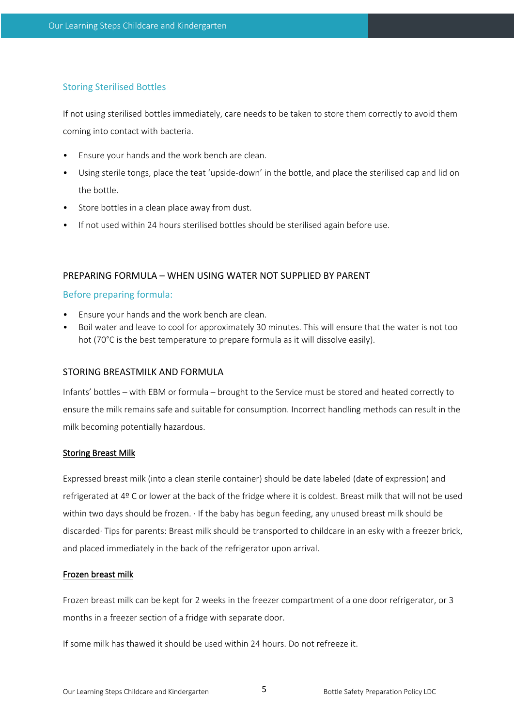## Storing Sterilised Bottles

If not using sterilised bottles immediately, care needs to be taken to store them correctly to avoid them coming into contact with bacteria.

- Ensure your hands and the work bench are clean.
- Using sterile tongs, place the teat 'upside-down' in the bottle, and place the sterilised cap and lid on the bottle.
- Store bottles in a clean place away from dust.
- If not used within 24 hours sterilised bottles should be sterilised again before use.

#### PREPARING FORMULA – WHEN USING WATER NOT SUPPLIED BY PARENT

#### Before preparing formula:

- Ensure your hands and the work bench are clean.
- Boil water and leave to cool for approximately 30 minutes. This will ensure that the water is not too hot (70°C is the best temperature to prepare formula as it will dissolve easily).

#### STORING BREASTMILK AND FORMULA

Infants' bottles – with EBM or formula – brought to the Service must be stored and heated correctly to ensure the milk remains safe and suitable for consumption. Incorrect handling methods can result in the milk becoming potentially hazardous.

## Storing Breast Milk

Expressed breast milk (into a clean sterile container) should be date labeled (date of expression) and refrigerated at 4º C or lower at the back of the fridge where it is coldest. Breast milk that will not be used within two days should be frozen. · If the baby has begun feeding, any unused breast milk should be discarded· Tips for parents: Breast milk should be transported to childcare in an esky with a freezer brick, and placed immediately in the back of the refrigerator upon arrival.

#### Frozen breast milk

Frozen breast milk can be kept for 2 weeks in the freezer compartment of a one door refrigerator, or 3 months in a freezer section of a fridge with separate door.

If some milk has thawed it should be used within 24 hours. Do not refreeze it.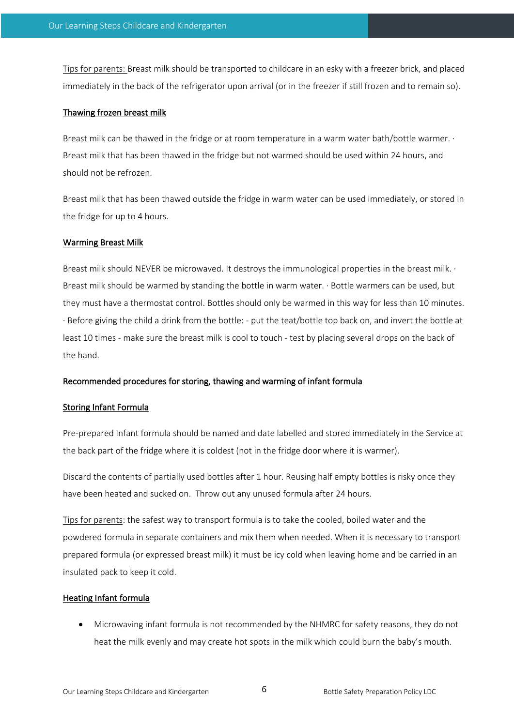Tips for parents: Breast milk should be transported to childcare in an esky with a freezer brick, and placed immediately in the back of the refrigerator upon arrival (or in the freezer if still frozen and to remain so).

#### Thawing frozen breast milk

Breast milk can be thawed in the fridge or at room temperature in a warm water bath/bottle warmer. · Breast milk that has been thawed in the fridge but not warmed should be used within 24 hours, and should not be refrozen.

Breast milk that has been thawed outside the fridge in warm water can be used immediately, or stored in the fridge for up to 4 hours.

#### Warming Breast Milk

Breast milk should NEVER be microwaved. It destroys the immunological properties in the breast milk. · Breast milk should be warmed by standing the bottle in warm water. · Bottle warmers can be used, but they must have a thermostat control. Bottles should only be warmed in this way for less than 10 minutes. · Before giving the child a drink from the bottle: - put the teat/bottle top back on, and invert the bottle at least 10 times - make sure the breast milk is cool to touch - test by placing several drops on the back of the hand.

## Recommended procedures for storing, thawing and warming of infant formula

## Storing Infant Formula

Pre-prepared Infant formula should be named and date labelled and stored immediately in the Service at the back part of the fridge where it is coldest (not in the fridge door where it is warmer).

Discard the contents of partially used bottles after 1 hour. Reusing half empty bottles is risky once they have been heated and sucked on. Throw out any unused formula after 24 hours.

Tips for parents: the safest way to transport formula is to take the cooled, boiled water and the powdered formula in separate containers and mix them when needed. When it is necessary to transport prepared formula (or expressed breast milk) it must be icy cold when leaving home and be carried in an insulated pack to keep it cold.

#### Heating Infant formula

• Microwaving infant formula is not recommended by the NHMRC for safety reasons, they do not heat the milk evenly and may create hot spots in the milk which could burn the baby's mouth.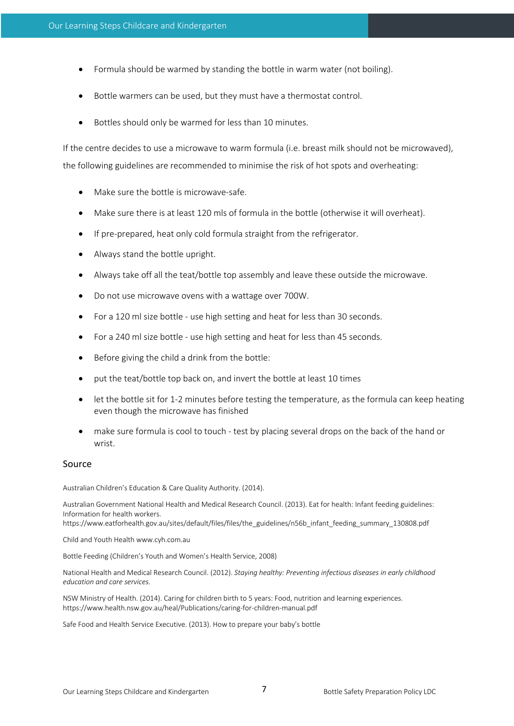- Formula should be warmed by standing the bottle in warm water (not boiling).
- Bottle warmers can be used, but they must have a thermostat control.
- Bottles should only be warmed for less than 10 minutes.

If the centre decides to use a microwave to warm formula (i.e. breast milk should not be microwaved), the following guidelines are recommended to minimise the risk of hot spots and overheating:

- Make sure the bottle is microwave-safe.
- Make sure there is at least 120 mls of formula in the bottle (otherwise it will overheat).
- If pre-prepared, heat only cold formula straight from the refrigerator.
- Always stand the bottle upright.
- Always take off all the teat/bottle top assembly and leave these outside the microwave.
- Do not use microwave ovens with a wattage over 700W.
- For a 120 ml size bottle use high setting and heat for less than 30 seconds.
- For a 240 ml size bottle use high setting and heat for less than 45 seconds.
- Before giving the child a drink from the bottle:
- put the teat/bottle top back on, and invert the bottle at least 10 times
- let the bottle sit for 1-2 minutes before testing the temperature, as the formula can keep heating even though the microwave has finished
- make sure formula is cool to touch test by placing several drops on the back of the hand or wrist.

#### Source

Australian Children's Education & Care Quality Authority. (2014).

Australian Government National Health and Medical Research Council. (2013). Eat for health: Infant feeding guidelines: Information for health workers.

https://www.eatforhealth.gov.au/sites/default/files/files/the\_guidelines/n56b\_infant\_feeding\_summary\_130808.pdf

Child and Youth Health www.cyh.com.au

Bottle Feeding (Children's Youth and Women's Health Service, 2008)

National Health and Medical Research Council. (2012). *Staying healthy: Preventing infectious diseases in early childhood education and care services.* 

NSW Ministry of Health. (2014). Caring for children birth to 5 years: Food, nutrition and learning experiences. https://www.health.nsw.gov.au/heal/Publications/caring-for-children-manual.pdf

Safe Food and Health Service Executive. (2013). How to prepare your baby's bottle